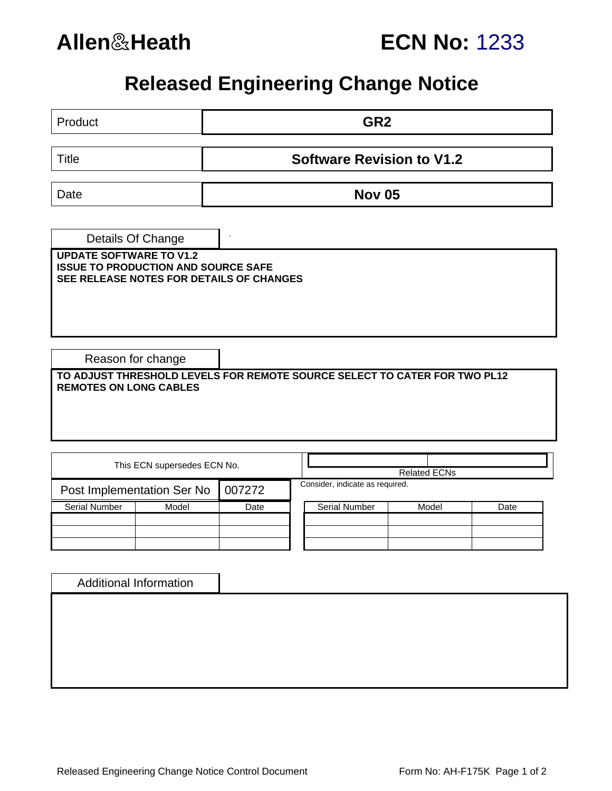

# **Allen**&**Heath ECN No:** 1233

# **Released Engineering Change Notice**

| GR <sub>2</sub><br>Product                                                                                               |        |                                  |  |                      |  |       |      |  |  |  |  |  |
|--------------------------------------------------------------------------------------------------------------------------|--------|----------------------------------|--|----------------------|--|-------|------|--|--|--|--|--|
| <b>Title</b>                                                                                                             |        | <b>Software Revision to V1.2</b> |  |                      |  |       |      |  |  |  |  |  |
| Date                                                                                                                     |        | <b>Nov 05</b>                    |  |                      |  |       |      |  |  |  |  |  |
| Details Of Change                                                                                                        |        |                                  |  |                      |  |       |      |  |  |  |  |  |
| <b>UPDATE SOFTWARE TO V1.2</b><br><b>ISSUE TO PRODUCTION AND SOURCE SAFE</b><br>SEE RELEASE NOTES FOR DETAILS OF CHANGES |        |                                  |  |                      |  |       |      |  |  |  |  |  |
| Reason for change                                                                                                        |        |                                  |  |                      |  |       |      |  |  |  |  |  |
| TO ADJUST THRESHOLD LEVELS FOR REMOTE SOURCE SELECT TO CATER FOR TWO PL12<br><b>REMOTES ON LONG CABLES</b>               |        |                                  |  |                      |  |       |      |  |  |  |  |  |
|                                                                                                                          |        |                                  |  |                      |  |       |      |  |  |  |  |  |
| This ECN supersedes ECN No.                                                                                              |        |                                  |  | <b>Related ECNs</b>  |  |       |      |  |  |  |  |  |
| Post Implementation Ser No                                                                                               | 007272 | Consider, indicate as required.  |  |                      |  |       |      |  |  |  |  |  |
| <b>Serial Number</b><br>Model                                                                                            |        | Date                             |  | <b>Serial Number</b> |  | Model | Date |  |  |  |  |  |
|                                                                                                                          |        |                                  |  |                      |  |       |      |  |  |  |  |  |
|                                                                                                                          |        |                                  |  |                      |  |       |      |  |  |  |  |  |
| <b>Additional Information</b>                                                                                            |        |                                  |  |                      |  |       |      |  |  |  |  |  |
|                                                                                                                          |        |                                  |  |                      |  |       |      |  |  |  |  |  |